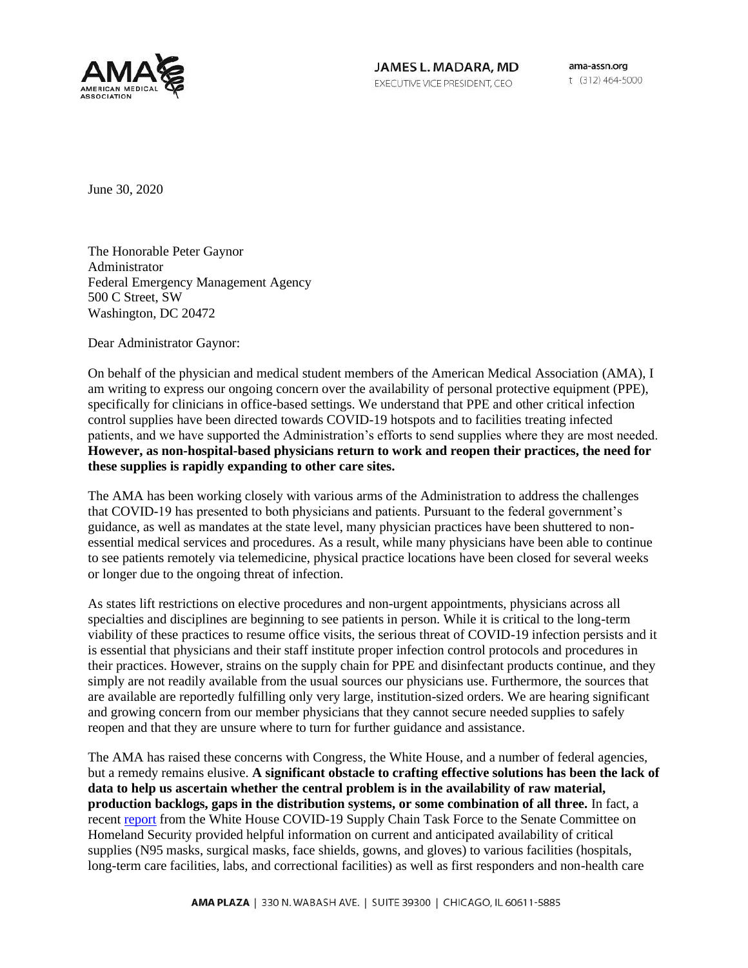

JAMES L. MADARA, MD EXECUTIVE VICE PRESIDENT, CEO

ama-assn.org t (312) 464-5000

June 30, 2020

The Honorable Peter Gaynor Administrator Federal Emergency Management Agency 500 C Street, SW Washington, DC 20472

Dear Administrator Gaynor:

On behalf of the physician and medical student members of the American Medical Association (AMA), I am writing to express our ongoing concern over the availability of personal protective equipment (PPE), specifically for clinicians in office-based settings. We understand that PPE and other critical infection control supplies have been directed towards COVID-19 hotspots and to facilities treating infected patients, and we have supported the Administration's efforts to send supplies where they are most needed. **However, as non-hospital-based physicians return to work and reopen their practices, the need for these supplies is rapidly expanding to other care sites.**

The AMA has been working closely with various arms of the Administration to address the challenges that COVID-19 has presented to both physicians and patients. Pursuant to the federal government's guidance, as well as mandates at the state level, many physician practices have been shuttered to nonessential medical services and procedures. As a result, while many physicians have been able to continue to see patients remotely via telemedicine, physical practice locations have been closed for several weeks or longer due to the ongoing threat of infection.

As states lift restrictions on elective procedures and non-urgent appointments, physicians across all specialties and disciplines are beginning to see patients in person. While it is critical to the long-term viability of these practices to resume office visits, the serious threat of COVID-19 infection persists and it is essential that physicians and their staff institute proper infection control protocols and procedures in their practices. However, strains on the supply chain for PPE and disinfectant products continue, and they simply are not readily available from the usual sources our physicians use. Furthermore, the sources that are available are reportedly fulfilling only very large, institution-sized orders. We are hearing significant and growing concern from our member physicians that they cannot secure needed supplies to safely reopen and that they are unsure where to turn for further guidance and assistance.

The AMA has raised these concerns with Congress, the White House, and a number of federal agencies, but a remedy remains elusive. **A significant obstacle to crafting effective solutions has been the lack of data to help us ascertain whether the central problem is in the availability of raw material, production backlogs, gaps in the distribution systems, or some combination of all three.** In fact, a recent [report](https://www.hassan.senate.gov/imo/media/doc/SCTF%20Demand%20PPE%20Chart.pdf) from the White House COVID-19 Supply Chain Task Force to the Senate Committee on Homeland Security provided helpful information on current and anticipated availability of critical supplies (N95 masks, surgical masks, face shields, gowns, and gloves) to various facilities (hospitals, long-term care facilities, labs, and correctional facilities) as well as first responders and non-health care